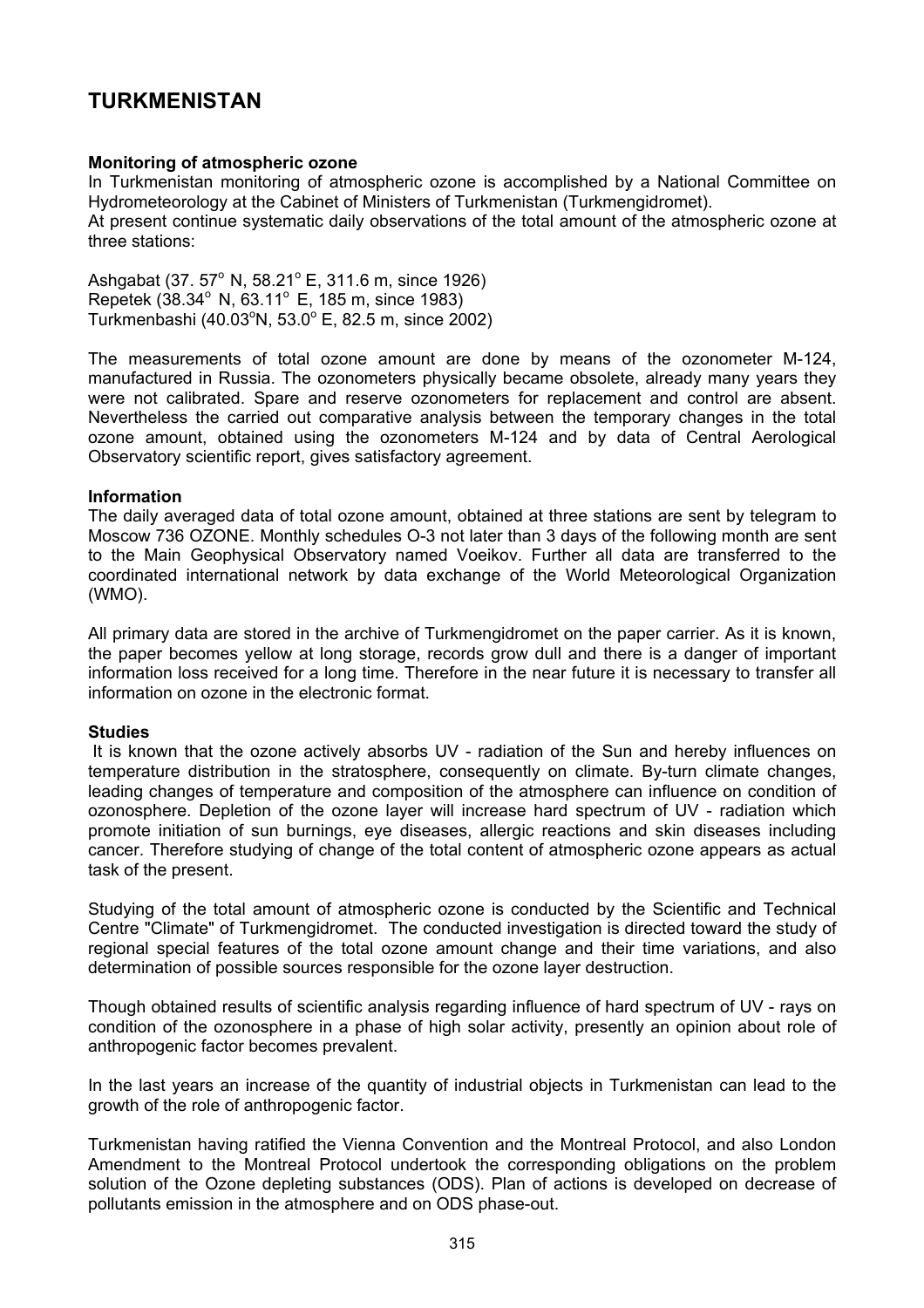# **TURKMENISTAN**

## **Monitoring of atmospheric ozone**

In Turkmenistan monitoring of atmospheric ozone is accomplished by a National Committee on Hydrometeorology at the Cabinet of Ministers of Turkmenistan (Turkmengidromet). At present continue systematic daily observations of the total amount of the atmospheric ozone at three stations:

Ashgabat (37. 57° N, 58.21° E, 311.6 m, since 1926) Repetek (38.34° N, 63.11° E, 185 m, since 1983) Turkmenbashi (40.03 $^{\circ}$ N, 53.0 $^{\circ}$  E, 82.5 m, since 2002)

The measurements of total ozone amount are done by means of the ozonometer M-124, manufactured in Russia. The ozonometers physically became obsolete, already many years they were not calibrated. Spare and reserve ozonometers for replacement and control are absent. Nevertheless the carried out comparative analysis between the temporary changes in the total ozone amount, obtained using the ozonometers M-124 and by data of Central Aerological Observatory scientific report, gives satisfactory agreement.

#### **Information**

The daily averaged data of total ozone amount, obtained at three stations are sent by telegram to Moscow 736 OZONE. Monthly schedules O-3 not later than 3 days of the following month are sent to the Main Geophysical Observatory named Voeikov. Further all data are transferred to the coordinated international network by data exchange of the World Meteorological Organization (WMO).

All primary data are stored in the archive of Turkmengidromet on the paper carrier. As it is known, the paper becomes yellow at long storage, records grow dull and there is a danger of important information loss received for a long time. Therefore in the near future it is necessary to transfer all information on ozone in the electronic format.

#### **Studies**

 It is known that the ozone actively absorbs UV - radiation of the Sun and hereby influences on temperature distribution in the stratosphere, consequently on climate. By-turn climate changes, leading changes of temperature and composition of the atmosphere can influence on condition of ozonosphere. Depletion of the ozone layer will increase hard spectrum of UV - radiation which promote initiation of sun burnings, eye diseases, allergic reactions and skin diseases including cancer. Therefore studying of change of the total content of atmospheric ozone appears as actual task of the present.

Studying of the total amount of atmospheric ozone is conducted by the Scientific and Technical Centre "Climate" of Turkmengidromet. The conducted investigation is directed toward the study of regional special features of the total ozone amount change and their time variations, and also determination of possible sources responsible for the ozone layer destruction.

Though obtained results of scientific analysis regarding influence of hard spectrum of UV - rays on condition of the ozonosphere in a phase of high solar activity, presently an opinion about role of anthropogenic factor becomes prevalent.

In the last years an increase of the quantity of industrial objects in Turkmenistan can lead to the growth of the role of anthropogenic factor.

Turkmenistan having ratified the Vienna Convention and the Montreal Protocol, and also London Amendment to the Montreal Protocol undertook the corresponding obligations on the problem solution of the Ozone depleting substances (ODS). Plan of actions is developed on decrease of pollutants emission in the atmosphere and on ODS phase-out.